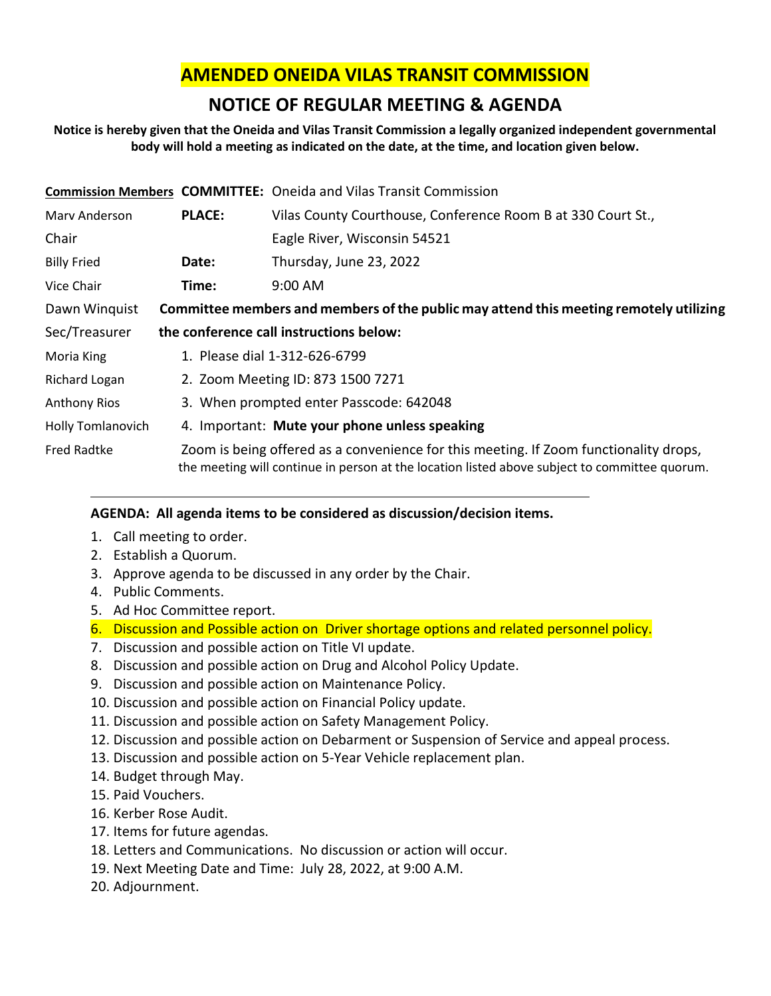# **AMENDED ONEIDA VILAS TRANSIT COMMISSION**

# **NOTICE OF REGULAR MEETING & AGENDA**

## **Notice is hereby given that the Oneida and Vilas Transit Commission a legally organized independent governmental body will hold a meeting as indicated on the date, at the time, and location given below.**

|                          |                                                                                        | <b>Commission Members COMMITTEE:</b> Oneida and Vilas Transit Commission                                                                                                               |  |
|--------------------------|----------------------------------------------------------------------------------------|----------------------------------------------------------------------------------------------------------------------------------------------------------------------------------------|--|
| Mary Anderson            | <b>PLACE:</b>                                                                          | Vilas County Courthouse, Conference Room B at 330 Court St.,                                                                                                                           |  |
| Chair                    |                                                                                        | Eagle River, Wisconsin 54521                                                                                                                                                           |  |
| <b>Billy Fried</b>       | Date:                                                                                  | Thursday, June 23, 2022                                                                                                                                                                |  |
| Vice Chair               | Time:                                                                                  | $9:00$ AM                                                                                                                                                                              |  |
| Dawn Winquist            | Committee members and members of the public may attend this meeting remotely utilizing |                                                                                                                                                                                        |  |
| Sec/Treasurer            |                                                                                        | the conference call instructions below:                                                                                                                                                |  |
| Moria King               | 1. Please dial 1-312-626-6799                                                          |                                                                                                                                                                                        |  |
| Richard Logan            | 2. Zoom Meeting ID: 873 1500 7271                                                      |                                                                                                                                                                                        |  |
| Anthony Rios             | 3. When prompted enter Passcode: 642048                                                |                                                                                                                                                                                        |  |
| <b>Holly Tomlanovich</b> | 4. Important: Mute your phone unless speaking                                          |                                                                                                                                                                                        |  |
| <b>Fred Radtke</b>       |                                                                                        | Zoom is being offered as a convenience for this meeting. If Zoom functionality drops,<br>the meeting will continue in person at the location listed above subject to committee quorum. |  |

## **AGENDA: All agenda items to be considered as discussion/decision items.**

- 1. Call meeting to order.
- 2. Establish a Quorum.
- 3. Approve agenda to be discussed in any order by the Chair.
- 4. Public Comments.
- 5. Ad Hoc Committee report.
- 6. Discussion and Possible action on Driver shortage options and related personnel policy.
- 7. Discussion and possible action on Title VI update.
- 8. Discussion and possible action on Drug and Alcohol Policy Update.
- 9. Discussion and possible action on Maintenance Policy.
- 10. Discussion and possible action on Financial Policy update.
- 11. Discussion and possible action on Safety Management Policy.
- 12. Discussion and possible action on Debarment or Suspension of Service and appeal process.
- 13. Discussion and possible action on 5-Year Vehicle replacement plan.
- 14. Budget through May.
- 15. Paid Vouchers.
- 16. Kerber Rose Audit.
- 17. Items for future agendas.
- 18. Letters and Communications. No discussion or action will occur.
- 19. Next Meeting Date and Time: July 28, 2022, at 9:00 A.M.
- 20. Adjournment.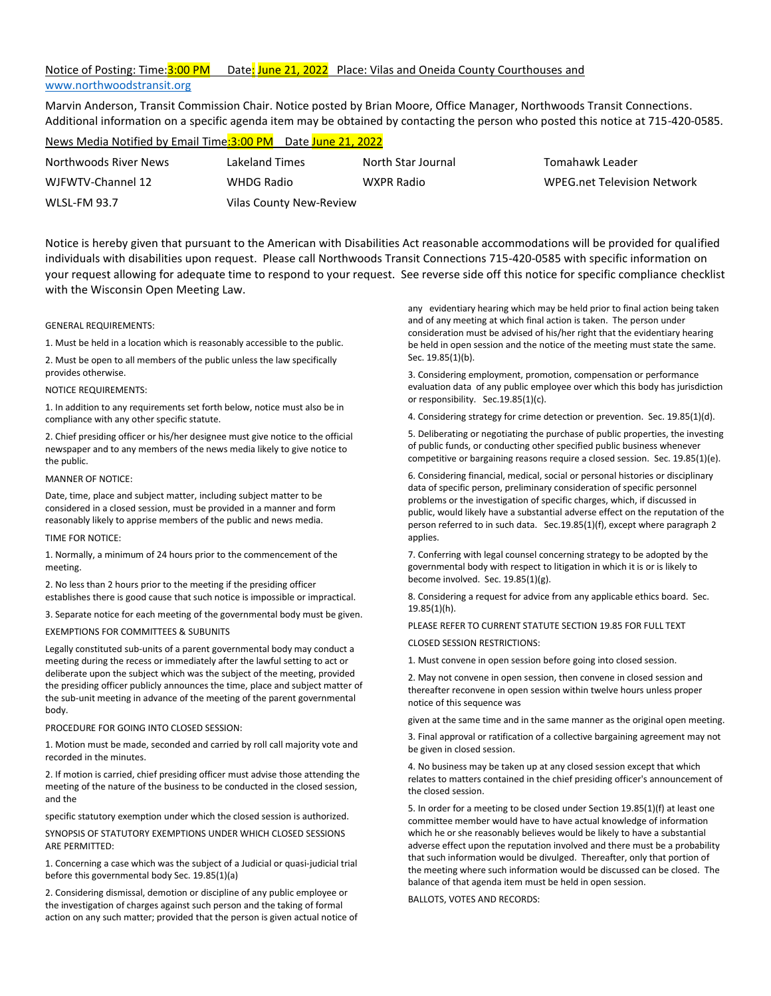## Notice of Posting: Time: 3:00 PM Date: June 21, 2022 Place: Vilas and Oneida County Courthouses and [www.northwoodstransit.org](http://www.northwoodstransit.org/)

Marvin Anderson, Transit Commission Chair. Notice posted by Brian Moore, Office Manager, Northwoods Transit Connections. Additional information on a specific agenda item may be obtained by contacting the person who posted this notice at 715-420-0585.

| News Media Notified by Email Time: 3:00 PM Date June 21, 2022 |                         |                    |                                    |  |  |  |
|---------------------------------------------------------------|-------------------------|--------------------|------------------------------------|--|--|--|
| Northwoods River News                                         | Lakeland Times          | North Star Journal | Tomahawk Leader                    |  |  |  |
| WJFWTV-Channel 12                                             | WHDG Radio              | WXPR Radio         | <b>WPEG.net Television Network</b> |  |  |  |
| <b>WLSL-FM 93.7</b>                                           | Vilas County New-Review |                    |                                    |  |  |  |

Notice is hereby given that pursuant to the American with Disabilities Act reasonable accommodations will be provided for qualified individuals with disabilities upon request. Please call Northwoods Transit Connections 715-420-0585 with specific information on your request allowing for adequate time to respond to your request. See reverse side off this notice for specific compliance checklist with the Wisconsin Open Meeting Law.

### GENERAL REQUIREMENTS:

1. Must be held in a location which is reasonably accessible to the public.

2. Must be open to all members of the public unless the law specifically provides otherwise.

NOTICE REQUIREMENTS:

1. In addition to any requirements set forth below, notice must also be in compliance with any other specific statute.

2. Chief presiding officer or his/her designee must give notice to the official newspaper and to any members of the news media likely to give notice to the public.

### MANNER OF NOTICE:

Date, time, place and subject matter, including subject matter to be considered in a closed session, must be provided in a manner and form reasonably likely to apprise members of the public and news media.

### TIME FOR NOTICE:

1. Normally, a minimum of 24 hours prior to the commencement of the meeting.

2. No less than 2 hours prior to the meeting if the presiding officer establishes there is good cause that such notice is impossible or impractical.

3. Separate notice for each meeting of the governmental body must be given.

## EXEMPTIONS FOR COMMITTEES & SUBUNITS

Legally constituted sub-units of a parent governmental body may conduct a meeting during the recess or immediately after the lawful setting to act or deliberate upon the subject which was the subject of the meeting, provided the presiding officer publicly announces the time, place and subject matter of the sub-unit meeting in advance of the meeting of the parent governmental body.

PROCEDURE FOR GOING INTO CLOSED SESSION:

1. Motion must be made, seconded and carried by roll call majority vote and recorded in the minutes.

2. If motion is carried, chief presiding officer must advise those attending the meeting of the nature of the business to be conducted in the closed session, and the

specific statutory exemption under which the closed session is authorized.

SYNOPSIS OF STATUTORY EXEMPTIONS UNDER WHICH CLOSED SESSIONS ARE PERMITTED:

1. Concerning a case which was the subject of a Judicial or quasi-judicial trial before this governmental body Sec. 19.85(1)(a)

2. Considering dismissal, demotion or discipline of any public employee or the investigation of charges against such person and the taking of formal action on any such matter; provided that the person is given actual notice of any evidentiary hearing which may be held prior to final action being taken and of any meeting at which final action is taken. The person under consideration must be advised of his/her right that the evidentiary hearing be held in open session and the notice of the meeting must state the same. Sec. 19.85(1)(b).

3. Considering employment, promotion, compensation or performance evaluation data of any public employee over which this body has jurisdiction or responsibility. Sec.19.85(1)(c).

4. Considering strategy for crime detection or prevention. Sec. 19.85(1)(d).

5. Deliberating or negotiating the purchase of public properties, the investing of public funds, or conducting other specified public business whenever competitive or bargaining reasons require a closed session. Sec. 19.85(1)(e).

6. Considering financial, medical, social or personal histories or disciplinary data of specific person, preliminary consideration of specific personnel problems or the investigation of specific charges, which, if discussed in public, would likely have a substantial adverse effect on the reputation of the person referred to in such data. Sec.19.85(1)(f), except where paragraph 2 applies.

7. Conferring with legal counsel concerning strategy to be adopted by the governmental body with respect to litigation in which it is or is likely to become involved. Sec. 19.85(1)(g).

8. Considering a request for advice from any applicable ethics board. Sec. 19.85(1)(h).

PLEASE REFER TO CURRENT STATUTE SECTION 19.85 FOR FULL TEXT

CLOSED SESSION RESTRICTIONS:

1. Must convene in open session before going into closed session.

2. May not convene in open session, then convene in closed session and thereafter reconvene in open session within twelve hours unless proper notice of this sequence was

given at the same time and in the same manner as the original open meeting.

3. Final approval or ratification of a collective bargaining agreement may not be given in closed session.

4. No business may be taken up at any closed session except that which relates to matters contained in the chief presiding officer's announcement of the closed session.

5. In order for a meeting to be closed under Section 19.85(1)(f) at least one committee member would have to have actual knowledge of information which he or she reasonably believes would be likely to have a substantial adverse effect upon the reputation involved and there must be a probability that such information would be divulged. Thereafter, only that portion of the meeting where such information would be discussed can be closed. The balance of that agenda item must be held in open session.

BALLOTS, VOTES AND RECORDS: